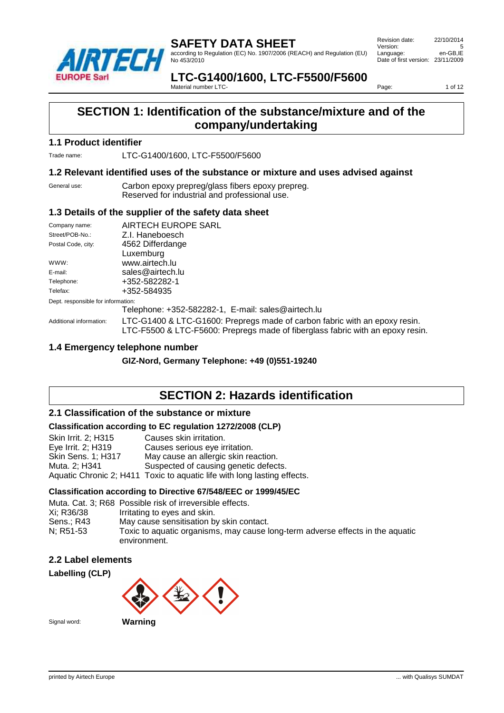

according to Regulation (EC) No. 1907/2006 (REACH) and Regulation (EU) No 453/2010

 Revision date: 22/10/2014 Version: 5<br>
Language: en-GB.IE Language: Date of first version: 23/11/2009

**LTC-G1400/1600, LTC-F5500/F5600** Material number LTC-

Page: 1 of 12

# **SECTION 1: Identification of the substance/mixture and of the company/undertaking**

#### **1.1 Product identifier**

Trade name: LTC-G1400/1600, LTC-F5500/F5600

#### **1.2 Relevant identified uses of the substance or mixture and uses advised against**

General use: Carbon epoxy prepreg/glass fibers epoxy prepreg. Reserved for industrial and professional use.

#### **1.3 Details of the supplier of the safety data sheet**

| Company name:<br>Street/POB-No.:   | AIRTECH EUROPE SARL<br>Z.I. Haneboesch                                                                                                                       |  |  |  |
|------------------------------------|--------------------------------------------------------------------------------------------------------------------------------------------------------------|--|--|--|
| Postal Code, city:                 | 4562 Differdange                                                                                                                                             |  |  |  |
|                                    | Luxemburg                                                                                                                                                    |  |  |  |
| WWW:                               | www.airtech.lu                                                                                                                                               |  |  |  |
| E-mail:                            | sales@airtech.lu                                                                                                                                             |  |  |  |
| Telephone:                         | +352-582282-1                                                                                                                                                |  |  |  |
| Telefax:                           | +352-584935                                                                                                                                                  |  |  |  |
| Dept. responsible for information: |                                                                                                                                                              |  |  |  |
|                                    | Telephone: +352-582282-1, E-mail: sales@airtech.lu                                                                                                           |  |  |  |
| Additional information:            | LTC-G1400 & LTC-G1600: Prepregs made of carbon fabric with an epoxy resin.<br>LTC-F5500 & LTC-F5600: Prepregs made of fiberglass fabric with an epoxy resin. |  |  |  |

#### **1.4 Emergency telephone number**

**GIZ-Nord, Germany Telephone: +49 (0)551-19240**

### **SECTION 2: Hazards identification**

#### **2.1 Classification of the substance or mixture**

#### **Classification according to EC regulation 1272/2008 (CLP)**

| Skin Irrit. 2; H315       | Causes skin irritation.                                                  |
|---------------------------|--------------------------------------------------------------------------|
| Eye Irrit. 2; H319        | Causes serious eye irritation.                                           |
| <b>Skin Sens. 1; H317</b> | May cause an allergic skin reaction.                                     |
| Muta, 2: H341             | Suspected of causing genetic defects.                                    |
|                           | Aquatic Chronic 2; H411 Toxic to aquatic life with long lasting effects. |

#### **Classification according to Directive 67/548/EEC or 1999/45/EC**

|            | Muta, Cat. 3: R68 Possible risk of irreversible effects.                                       |
|------------|------------------------------------------------------------------------------------------------|
| Xi: R36/38 | Irritating to eyes and skin.                                                                   |
| Sens.: R43 | May cause sensitisation by skin contact.                                                       |
| N: R51-53  | Toxic to aquatic organisms, may cause long-term adverse effects in the aquatic<br>environment. |

#### **2.2 Label elements**



Signal word: **Warning**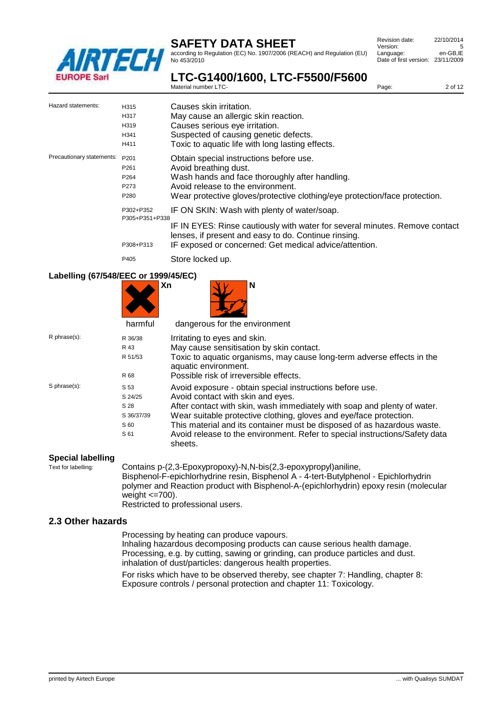

according to Regulation (EC) No. 1907/2006 (REACH) and Regulation (EU) No 453/2010

| Revision date:                    | 22/10/2014 |
|-----------------------------------|------------|
| Version:                          | 5          |
| Language:                         | en-GB.IE   |
| Date of first version: 23/11/2009 |            |
|                                   |            |

Page: 2 of 12

**LTC-G1400/1600, LTC-F5500/F5600** Material number LTC-

| Hazard statements:        | H315<br>H317<br>H319<br>H341<br>H411                                     | Causes skin irritation.<br>May cause an allergic skin reaction.<br>Causes serious eye irritation.<br>Suspected of causing genetic defects.<br>Toxic to aquatic life with long lasting effects.                                               |
|---------------------------|--------------------------------------------------------------------------|----------------------------------------------------------------------------------------------------------------------------------------------------------------------------------------------------------------------------------------------|
| Precautionary statements: | P201<br>P <sub>261</sub><br>P <sub>264</sub><br>P273<br>P <sub>280</sub> | Obtain special instructions before use.<br>Avoid breathing dust.<br>Wash hands and face thoroughly after handling.<br>Avoid release to the environment.<br>Wear protective gloves/protective clothing/eye protection/face protection.        |
|                           | P302+P352<br>P305+P351+P338<br>P308+P313                                 | IF ON SKIN: Wash with plenty of water/soap.<br>IF IN EYES: Rinse cautiously with water for several minutes. Remove contact<br>lenses, if present and easy to do. Continue rinsing.<br>IF exposed or concerned: Get medical advice/attention. |
|                           | P405                                                                     | Store locked up.                                                                                                                                                                                                                             |

#### **Labelling (67/548/EEC or 1999/45/EC)**

|                    | harmful    | Xn<br>N<br>dangerous for the environment                                                       |
|--------------------|------------|------------------------------------------------------------------------------------------------|
| $R$ phrase $(s)$ : | R 36/38    | Irritating to eyes and skin.                                                                   |
|                    | R 43       | May cause sensitisation by skin contact.                                                       |
|                    | R 51/53    | Toxic to aquatic organisms, may cause long-term adverse effects in the<br>aquatic environment. |
|                    | R 68       | Possible risk of irreversible effects.                                                         |
| S phrase(s):       | S 53       | Avoid exposure - obtain special instructions before use.                                       |
|                    | S 24/25    | Avoid contact with skin and eyes.                                                              |
|                    | S 28       | After contact with skin, wash immediately with soap and plenty of water.                       |
|                    | S 36/37/39 | Wear suitable protective clothing, gloves and eye/face protection.                             |
|                    | S 60       | This material and its container must be disposed of as hazardous waste.                        |
|                    | S 61       | Avoid release to the environment. Refer to special instructions/Safety data<br>sheets.         |

# **Special labelling**<br>Text for labelling:

Contains p-(2,3-Epoxypropoxy)-N,N-bis(2,3-epoxypropyl)aniline, Bisphenol-F-epichlorhydrine resin, Bisphenol A - 4-tert-Butylphenol - Epichlorhydrin polymer and Reaction product with Bisphenol-A-(epichlorhydrin) epoxy resin (molecular weight  $\leq$ =700).

Restricted to professional users.

#### **2.3 Other hazards**

Processing by heating can produce vapours.

Inhaling hazardous decomposing products can cause serious health damage. Processing, e.g. by cutting, sawing or grinding, can produce particles and dust. inhalation of dust/particles: dangerous health properties.

For risks which have to be observed thereby, see chapter 7: Handling, chapter 8: Exposure controls / personal protection and chapter 11: Toxicology.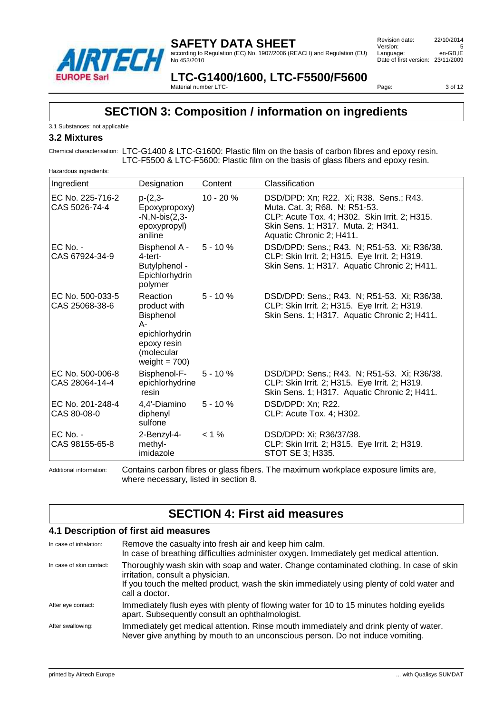

according to Regulation (EC) No. 1907/2006 (REACH) and Regulation (EU) No 453/2010

 Revision date: 22/10/2014 Version: 5<br>
Language: en-GB.IE Language: en-GB,IE Date of first version: 23/11/2009

**LTC-G1400/1600, LTC-F5500/F5600** Material number LTC-

Page: 3 of 12

# **SECTION 3: Composition / information on ingredients**

3.1 Substances: not applicable

#### **3.2 Mixtures**

Chemical characterisation: LTC-G1400 & LTC-G1600: Plastic film on the basis of carbon fibres and epoxy resin. LTC-F5500 & LTC-F5600: Plastic film on the basis of glass fibers and epoxy resin.

| Hazardous ingredients:             |                                                                                                                       |             |                                                                                                                                                                                            |  |
|------------------------------------|-----------------------------------------------------------------------------------------------------------------------|-------------|--------------------------------------------------------------------------------------------------------------------------------------------------------------------------------------------|--|
| Ingredient                         | Designation                                                                                                           | Content     | Classification                                                                                                                                                                             |  |
| EC No. 225-716-2<br>CAS 5026-74-4  | $p-(2,3-$<br>Epoxypropoxy)<br>$-N, N-bis(2,3-$<br>epoxypropyl)<br>aniline                                             | $10 - 20%$  | DSD/DPD: Xn; R22. Xi; R38. Sens.; R43.<br>Muta. Cat. 3; R68. N; R51-53.<br>CLP: Acute Tox. 4; H302. Skin Irrit. 2; H315.<br>Skin Sens. 1; H317. Muta. 2; H341.<br>Aquatic Chronic 2; H411. |  |
| $EC$ No. -<br>CAS 67924-34-9       | Bisphenol A -<br>$4$ -tert-<br>Butylphenol -<br>Epichlorhydrin<br>polymer                                             | $5 - 10 \%$ | DSD/DPD: Sens.; R43. N; R51-53. Xi; R36/38.<br>CLP: Skin Irrit. 2; H315. Eye Irrit. 2; H319.<br>Skin Sens. 1; H317. Aquatic Chronic 2; H411.                                               |  |
| EC No. 500-033-5<br>CAS 25068-38-6 | <b>Reaction</b><br>product with<br>Bisphenol<br>А-<br>epichlorhydrin<br>epoxy resin<br>(molecular<br>weight = $700$ ) | $5 - 10%$   | DSD/DPD: Sens.; R43. N; R51-53. Xi; R36/38.<br>CLP: Skin Irrit. 2; H315. Eye Irrit. 2; H319.<br>Skin Sens. 1; H317. Aquatic Chronic 2; H411.                                               |  |
| EC No. 500-006-8<br>CAS 28064-14-4 | Bisphenol-F-<br>epichlorhydrine<br>resin                                                                              | $5 - 10%$   | DSD/DPD: Sens.; R43. N; R51-53. Xi; R36/38.<br>CLP: Skin Irrit. 2; H315. Eye Irrit. 2; H319.<br>Skin Sens. 1; H317. Aquatic Chronic 2; H411.                                               |  |
| EC No. 201-248-4<br>CAS 80-08-0    | 4,4'-Diamino<br>diphenyl<br>sulfone                                                                                   | $5 - 10%$   | DSD/DPD: Xn; R22.<br>CLP: Acute Tox. 4; H302.                                                                                                                                              |  |
| $EC$ No. -<br>CAS 98155-65-8       | 2-Benzyl-4-<br>methyl-<br>imidazole                                                                                   | $< 1 \%$    | DSD/DPD: Xi; R36/37/38.<br>CLP: Skin Irrit. 2; H315. Eye Irrit. 2; H319.<br>STOT SE 3; H335.                                                                                               |  |

Additional information: Contains carbon fibres or glass fibers. The maximum workplace exposure limits are, where necessary, listed in section 8.

# **SECTION 4: First aid measures**

#### **4.1 Description of first aid measures**

| In case of inhalation:   | Remove the casualty into fresh air and keep him calm.<br>In case of breathing difficulties administer oxygen. Immediately get medical attention.                                                                                           |
|--------------------------|--------------------------------------------------------------------------------------------------------------------------------------------------------------------------------------------------------------------------------------------|
| In case of skin contact: | Thoroughly wash skin with soap and water. Change contaminated clothing. In case of skin<br>irritation, consult a physician.<br>If you touch the melted product, wash the skin immediately using plenty of cold water and<br>call a doctor. |
|                          |                                                                                                                                                                                                                                            |
| After eye contact:       | Immediately flush eyes with plenty of flowing water for 10 to 15 minutes holding eyelids<br>apart. Subsequently consult an ophthalmologist.                                                                                                |
| After swallowing:        | Immediately get medical attention. Rinse mouth immediately and drink plenty of water.<br>Never give anything by mouth to an unconscious person. Do not induce vomiting.                                                                    |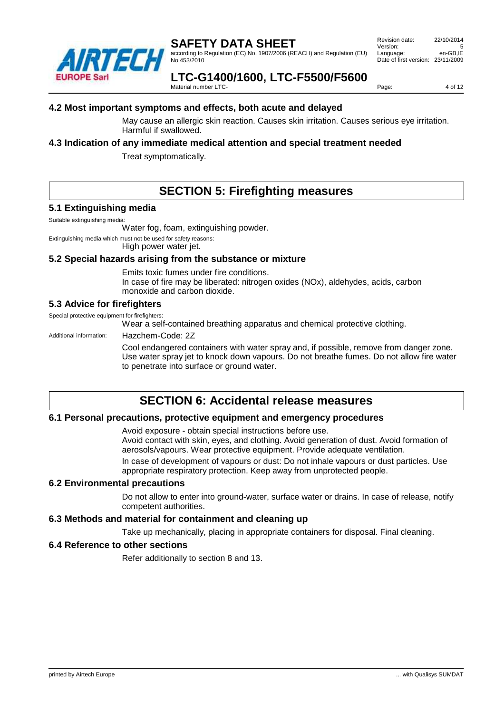

according to Regulation (EC) No. 1907/2006 (REACH) and Regulation (EU) No 453/2010

 Revision date: 22/10/2014 Version: Language: en-GB,IE Date of first version: 23/11/2009

**LTC-G1400/1600, LTC-F5500/F5600**

Material number LTC-

Page: 4 of 12

#### **4.2 Most important symptoms and effects, both acute and delayed**

May cause an allergic skin reaction. Causes skin irritation. Causes serious eye irritation. Harmful if swallowed.

#### **4.3 Indication of any immediate medical attention and special treatment needed**

Treat symptomatically.

# **SECTION 5: Firefighting measures**

#### **5.1 Extinguishing media**

Suitable extinguishing media:

Water fog, foam, extinguishing powder.

Extinguishing media which must not be used for safety reasons:

High power water jet.

#### **5.2 Special hazards arising from the substance or mixture**

Emits toxic fumes under fire conditions.

In case of fire may be liberated: nitrogen oxides (NOx), aldehydes, acids, carbon monoxide and carbon dioxide.

#### **5.3 Advice for firefighters**

Special protective equipment for firefighters:

Wear a self-contained breathing apparatus and chemical protective clothing.

Additional information: Hazchem-Code: 2Z

Cool endangered containers with water spray and, if possible, remove from danger zone. Use water spray jet to knock down vapours. Do not breathe fumes. Do not allow fire water to penetrate into surface or ground water.

# **SECTION 6: Accidental release measures**

#### **6.1 Personal precautions, protective equipment and emergency procedures**

Avoid exposure - obtain special instructions before use.

Avoid contact with skin, eyes, and clothing. Avoid generation of dust. Avoid formation of aerosols/vapours. Wear protective equipment. Provide adequate ventilation. In case of development of vapours or dust: Do not inhale vapours or dust particles. Use

appropriate respiratory protection. Keep away from unprotected people.

#### **6.2 Environmental precautions**

Do not allow to enter into ground-water, surface water or drains. In case of release, notify competent authorities.

#### **6.3 Methods and material for containment and cleaning up**

Take up mechanically, placing in appropriate containers for disposal. Final cleaning.

#### **6.4 Reference to other sections**

Refer additionally to section 8 and 13.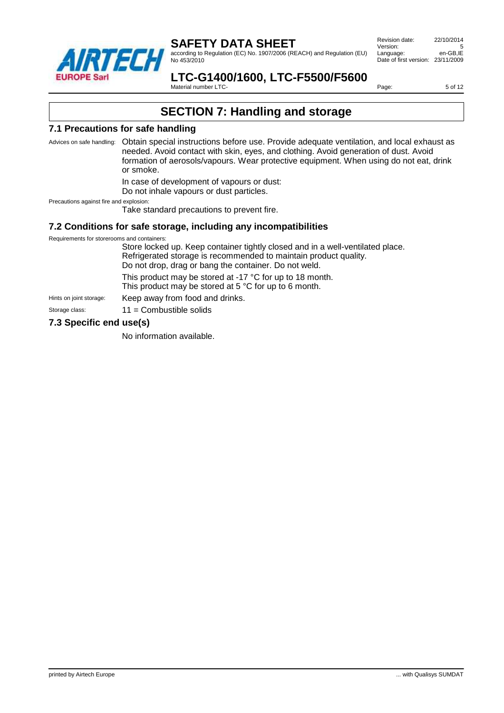

according to Regulation (EC) No. 1907/2006 (REACH) and Regulation (EU) No 453/2010

 Revision date: 22/10/2014 Version: 5<br>
Language: en-GB.IE Language: Date of first version: 23/11/2009

**LTC-G1400/1600, LTC-F5500/F5600**

Material number LTC-

Page: 5 of 12

# **SECTION 7: Handling and storage**

#### **7.1 Precautions for safe handling**

Advices on safe handling: Obtain special instructions before use. Provide adequate ventilation, and local exhaust as needed. Avoid contact with skin, eyes, and clothing. Avoid generation of dust. Avoid formation of aerosols/vapours. Wear protective equipment. When using do not eat, drink or smoke.

In case of development of vapours or dust:

Do not inhale vapours or dust particles.

Precautions against fire and explosion:

Take standard precautions to prevent fire.

#### **7.2 Conditions for safe storage, including any incompatibilities**

Requirements for storerooms and containers:

Store locked up. Keep container tightly closed and in a well-ventilated place. Refrigerated storage is recommended to maintain product quality. Do not drop, drag or bang the container. Do not weld. This product may be stored at -17 °C for up to 18 month. This product may be stored at 5 °C for up to 6 month. Hints on joint storage: Keep away from food and drinks.

Storage class: 11 = Combustible solids

#### **7.3 Specific end use(s)**

No information available.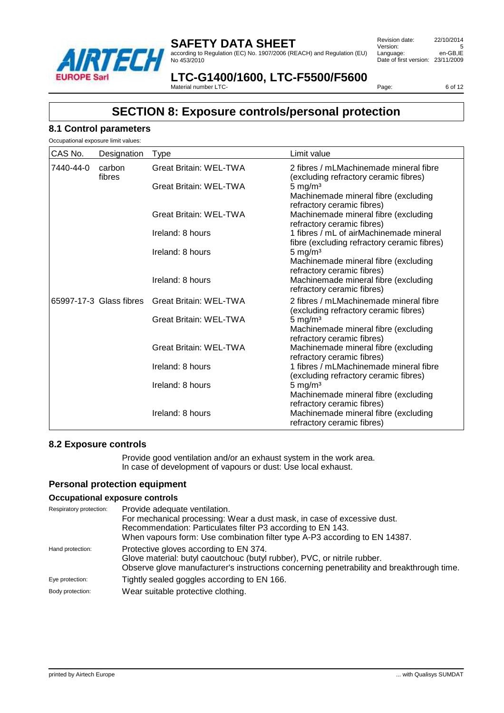

according to Regulation (EC) No. 1907/2006 (REACH) and Regulation (EU) No 453/2010

 Revision date: 22/10/2014 Version: 5<br>
Language: en-GB.IE Language: Date of first version: 23/11/2009

#### **LTC-G1400/1600, LTC-F5500/F5600** Material number LTC-

Page: 6 of 12

### **SECTION 8: Exposure controls/personal protection**

#### **8.1 Control parameters**

| CAS No.   | Designation             | Type                          | Limit value                                                                                      |
|-----------|-------------------------|-------------------------------|--------------------------------------------------------------------------------------------------|
| 7440-44-0 | carbon<br>fibres        | <b>Great Britain: WEL-TWA</b> | 2 fibres / mLMachinemade mineral fibre<br>(excluding refractory ceramic fibres)                  |
|           |                         | <b>Great Britain: WEL-TWA</b> | $5 \text{ mg/m}^3$<br>Machinemade mineral fibre (excluding                                       |
|           |                         | <b>Great Britain: WEL-TWA</b> | refractory ceramic fibres)<br>Machinemade mineral fibre (excluding<br>refractory ceramic fibres) |
|           |                         | Ireland: 8 hours              | 1 fibres / mL of airMachinemade mineral<br>fibre (excluding refractory ceramic fibres)           |
|           |                         | Ireland: 8 hours              | $5 \text{ mg/m}^3$<br>Machinemade mineral fibre (excluding<br>refractory ceramic fibres)         |
|           |                         | Ireland: 8 hours              | Machinemade mineral fibre (excluding<br>refractory ceramic fibres)                               |
|           | 65997-17-3 Glass fibres | <b>Great Britain: WEL-TWA</b> | 2 fibres / mLMachinemade mineral fibre<br>(excluding refractory ceramic fibres)                  |
|           |                         | <b>Great Britain: WEL-TWA</b> | $5 \text{ mg/m}^3$<br>Machinemade mineral fibre (excluding<br>refractory ceramic fibres)         |
|           |                         | <b>Great Britain: WEL-TWA</b> | Machinemade mineral fibre (excluding<br>refractory ceramic fibres)                               |
|           |                         | Ireland: 8 hours              | 1 fibres / mLMachinemade mineral fibre<br>(excluding refractory ceramic fibres)                  |
|           |                         | Ireland: 8 hours              | $5 \text{ mg/m}^3$<br>Machinemade mineral fibre (excluding<br>refractory ceramic fibres)         |
|           |                         | Ireland: 8 hours              | Machinemade mineral fibre (excluding<br>refractory ceramic fibres)                               |

#### **8.2 Exposure controls**

Provide good ventilation and/or an exhaust system in the work area. In case of development of vapours or dust: Use local exhaust.

#### **Personal protection equipment**

#### **Occupational exposure controls**

| Respiratory protection: | Provide adequate ventilation.<br>For mechanical processing: Wear a dust mask, in case of excessive dust.<br>Recommendation: Particulates filter P3 according to EN 143.<br>When vapours form: Use combination filter type A-P3 according to EN 14387. |
|-------------------------|-------------------------------------------------------------------------------------------------------------------------------------------------------------------------------------------------------------------------------------------------------|
| Hand protection:        | Protective gloves according to EN 374.<br>Glove material: butyl caoutchouc (butyl rubber), PVC, or nitrile rubber.<br>Observe glove manufacturer's instructions concerning penetrability and breakthrough time.                                       |
| Eye protection:         | Tightly sealed goggles according to EN 166.                                                                                                                                                                                                           |
| Body protection:        | Wear suitable protective clothing.                                                                                                                                                                                                                    |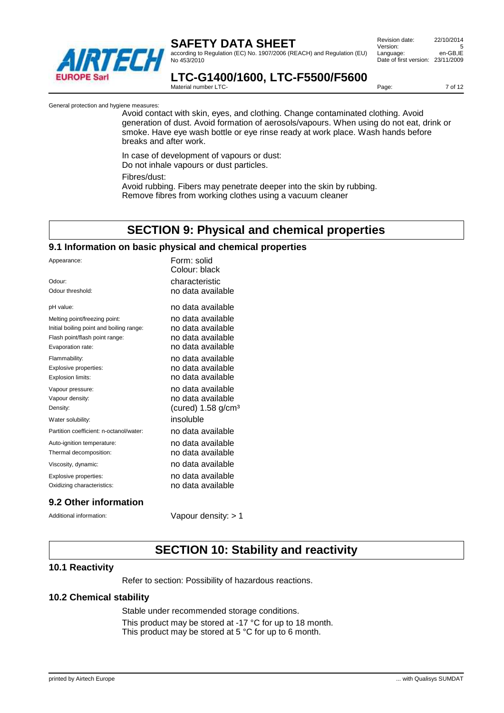

according to Regulation (EC) No. 1907/2006 (REACH) and Regulation (EU) No 453/2010

 Revision date: 22/10/2014 Version: 5<br>
Language: en-GB.IE Language: Date of first version: 23/11/2009

#### **LTC-G1400/1600, LTC-F5500/F5600** Material number LTC-

Page: 7 of 12

General protection and hygiene measures:

Avoid contact with skin, eyes, and clothing. Change contaminated clothing. Avoid generation of dust. Avoid formation of aerosols/vapours. When using do not eat, drink or smoke. Have eye wash bottle or eye rinse ready at work place. Wash hands before breaks and after work.

In case of development of vapours or dust: Do not inhale vapours or dust particles. Fibres/dust: Avoid rubbing. Fibers may penetrate deeper into the skin by rubbing. Remove fibres from working clothes using a vacuum cleaner

# **SECTION 9: Physical and chemical properties**

#### **9.1 Information on basic physical and chemical properties**

| Appearance:                              | Form: solid<br>Colour: black     |
|------------------------------------------|----------------------------------|
| Odour:                                   | characteristic                   |
| Odour threshold:                         | no data available                |
| pH value:                                | no data available                |
| Melting point/freezing point:            | no data available                |
| Initial boiling point and boiling range: | no data available                |
| Flash point/flash point range:           | no data available                |
| Evaporation rate:                        | no data available                |
| Flammability:                            | no data available                |
| Explosive properties:                    | no data available                |
| Explosion limits:                        | no data available                |
| Vapour pressure:                         | no data available                |
| Vapour density:                          | no data available                |
| Density:                                 | (cured) $1.58$ g/cm <sup>3</sup> |
| Water solubility:                        | insoluble                        |
| Partition coefficient: n-octanol/water:  | no data available                |
| Auto-ignition temperature:               | no data available                |
| Thermal decomposition:                   | no data available                |
| Viscosity, dynamic:                      | no data available                |
| Explosive properties:                    | no data available                |
| Oxidizing characteristics:               | no data available                |
|                                          |                                  |

#### **9.2 Other information**

Additional information: Vapour density: > 1

# **SECTION 10: Stability and reactivity**

#### **10.1 Reactivity**

Refer to section: Possibility of hazardous reactions.

#### **10.2 Chemical stability**

Stable under recommended storage conditions. This product may be stored at -17 °C for up to 18 month. This product may be stored at 5 °C for up to 6 month.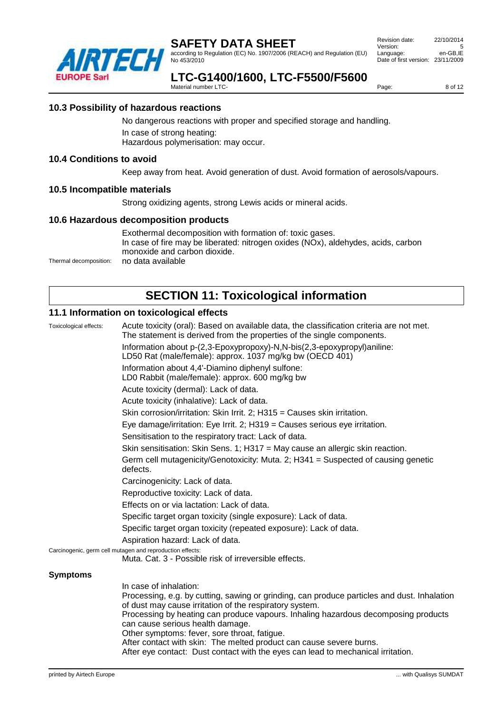

according to Regulation (EC) No. 1907/2006 (REACH) and Regulation (EU) No 453/2010

 Revision date: 22/10/2014 Version: 5<br>
Language: en-GB.IE Language: Date of first version: 23/11/2009

# **LTC-G1400/1600, LTC-F5500/F5600**

Material number LTC-

Page: 8 of 12

#### **10.3 Possibility of hazardous reactions**

No dangerous reactions with proper and specified storage and handling. In case of strong heating: Hazardous polymerisation: may occur.

#### **10.4 Conditions to avoid**

Keep away from heat. Avoid generation of dust. Avoid formation of aerosols/vapours.

#### **10.5 Incompatible materials**

Strong oxidizing agents, strong Lewis acids or mineral acids.

#### **10.6 Hazardous decomposition products**

Exothermal decomposition with formation of: toxic gases. In case of fire may be liberated: nitrogen oxides (NOx), aldehydes, acids, carbon monoxide and carbon dioxide. Thermal decomposition: no data available

# **SECTION 11: Toxicological information**

#### **11.1 Information on toxicological effects**

| Toxicological effects: | Acute toxicity (oral): Based on available data, the classification criteria are not met.<br>The statement is derived from the properties of the single components.<br>Information about p-(2,3-Epoxypropoxy)-N,N-bis(2,3-epoxypropyl)aniline:<br>LD50 Rat (male/female): approx. 1037 mg/kg bw (OECD 401)<br>Information about 4,4'-Diamino diphenyl sulfone:<br>LD0 Rabbit (male/female): approx. 600 mg/kg bw<br>Acute toxicity (dermal): Lack of data.                                                             |
|------------------------|-----------------------------------------------------------------------------------------------------------------------------------------------------------------------------------------------------------------------------------------------------------------------------------------------------------------------------------------------------------------------------------------------------------------------------------------------------------------------------------------------------------------------|
|                        | Acute toxicity (inhalative): Lack of data.                                                                                                                                                                                                                                                                                                                                                                                                                                                                            |
|                        | Skin corrosion/irritation: Skin Irrit. 2; H315 = Causes skin irritation.                                                                                                                                                                                                                                                                                                                                                                                                                                              |
|                        | Eye damage/irritation: Eye Irrit. 2; H319 = Causes serious eye irritation.                                                                                                                                                                                                                                                                                                                                                                                                                                            |
|                        | Sensitisation to the respiratory tract: Lack of data.                                                                                                                                                                                                                                                                                                                                                                                                                                                                 |
|                        | Skin sensitisation: Skin Sens. 1; H317 = May cause an allergic skin reaction.                                                                                                                                                                                                                                                                                                                                                                                                                                         |
|                        | Germ cell mutagenicity/Genotoxicity: Muta. 2; H341 = Suspected of causing genetic<br>defects.                                                                                                                                                                                                                                                                                                                                                                                                                         |
|                        | Carcinogenicity: Lack of data.                                                                                                                                                                                                                                                                                                                                                                                                                                                                                        |
|                        | Reproductive toxicity: Lack of data.                                                                                                                                                                                                                                                                                                                                                                                                                                                                                  |
|                        | Effects on or via lactation: Lack of data.                                                                                                                                                                                                                                                                                                                                                                                                                                                                            |
|                        | Specific target organ toxicity (single exposure): Lack of data.                                                                                                                                                                                                                                                                                                                                                                                                                                                       |
|                        | Specific target organ toxicity (repeated exposure): Lack of data.                                                                                                                                                                                                                                                                                                                                                                                                                                                     |
|                        | Aspiration hazard: Lack of data.                                                                                                                                                                                                                                                                                                                                                                                                                                                                                      |
|                        | Carcinogenic, germ cell mutagen and reproduction effects:<br>Muta. Cat. 3 - Possible risk of irreversible effects.                                                                                                                                                                                                                                                                                                                                                                                                    |
| <b>Symptoms</b>        |                                                                                                                                                                                                                                                                                                                                                                                                                                                                                                                       |
|                        | In case of inhalation:<br>Processing, e.g. by cutting, sawing or grinding, can produce particles and dust. Inhalation<br>of dust may cause irritation of the respiratory system.<br>Processing by heating can produce vapours. Inhaling hazardous decomposing products<br>can cause serious health damage.<br>Other symptoms: fever, sore throat, fatigue.<br>After contact with skin: The melted product can cause severe burns.<br>After eye contact: Dust contact with the eyes can lead to mechanical irritation. |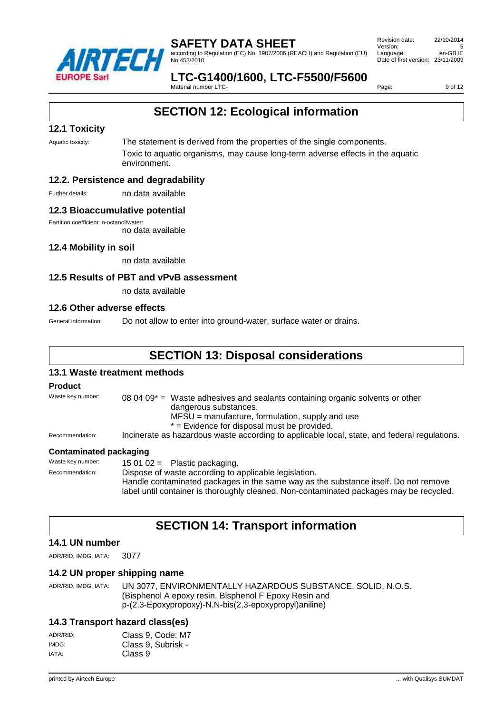

according to Regulation (EC) No. 1907/2006 (REACH) and Regulation (EU) No 453/2010

 Revision date: 22/10/2014 Version: Language: en-GB,IE Date of first version: 23/11/2009

### **LTC-G1400/1600, LTC-F5500/F5600**

Material number LTC-

Page: 9 of 12

# **SECTION 12: Ecological information**

#### **12.1 Toxicity**

Aquatic toxicity: The statement is derived from the properties of the single components. Toxic to aquatic organisms, may cause long-term adverse effects in the aquatic environment.

#### **12.2. Persistence and degradability**

Further details: no data available

#### **12.3 Bioaccumulative potential**

Partition coefficient: n-octanol/water:

no data available

#### **12.4 Mobility in soil**

no data available

#### **12.5 Results of PBT and vPvB assessment**

no data available

#### **12.6 Other adverse effects**

General information: Do not allow to enter into ground-water, surface water or drains.

# **SECTION 13: Disposal considerations**

#### **13.1 Waste treatment methods**

#### **Product**

Waste key number:  $080409^*$  = Waste adhesives and sealants containing organic solvents or other dangerous substances. MFSU = manufacture, formulation, supply and use \* = Evidence for disposal must be provided. Recommendation: Incinerate as hazardous waste according to applicable local, state, and federal regulations. **Contaminated packaging** Waste key number: 15 01 02 = Plastic packaging.

Recommendation: Dispose of waste according to applicable legislation. Handle contaminated packages in the same way as the substance itself. Do not remove label until container is thoroughly cleaned. Non-contaminated packages may be recycled.

# **SECTION 14: Transport information**

#### **14.1 UN number**

ADR/RID, IMDG, IATA: 3077

#### **14.2 UN proper shipping name**

ADR/RID, IMDG, IATA: UN 3077, ENVIRONMENTALLY HAZARDOUS SUBSTANCE, SOLID, N.O.S. (Bisphenol A epoxy resin, Bisphenol F Epoxy Resin and p-(2,3-Epoxypropoxy)-N,N-bis(2,3-epoxypropyl)aniline)

#### **14.3 Transport hazard class(es)**

| ADR/RID: | Class 9, Code: M7  |
|----------|--------------------|
| IMDG:    | Class 9, Subrisk - |
| IATA:    | Class 9            |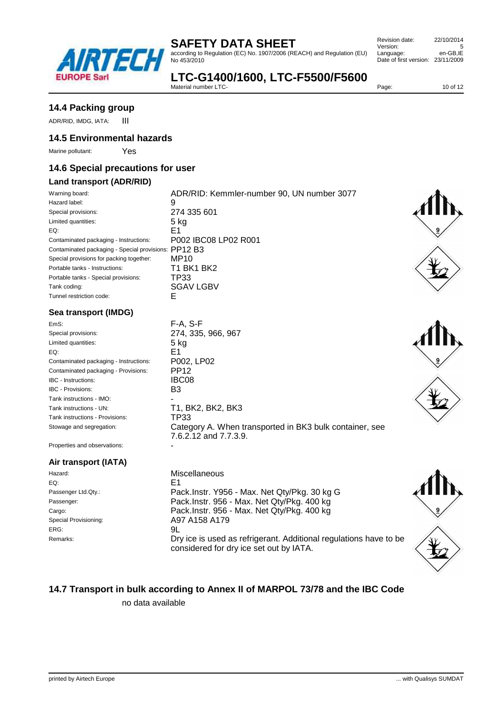

according to Regulation (EC) No. 1907/2006 (REACH) and Regulation (EU) No 453/2010

| Revision date:                    | 22/10/2014 |
|-----------------------------------|------------|
| Version:                          | 5          |
| Language:                         | en-GB.IE   |
| Date of first version: 23/11/2009 |            |
|                                   |            |

# **LTC-G1400/1600, LTC-F5500/F5600**

Material number LTC-

Page: 10 of 12

### **14.4 Packing group**

ADR/RID, IMDG, IATA: ||

### **14.5 Environmental hazards**

Marine pollutant: Yes

### **14.6 Special precautions for user**

### **Land transport (ADR/RID)**

| Warning board:                                           | ADR/RID: Kemmler-number 90, UN number 3077 |
|----------------------------------------------------------|--------------------------------------------|
| Hazard label:                                            | 9                                          |
| Special provisions:                                      | 274 335 601                                |
| Limited quantities:                                      | 5 kg                                       |
| EQ:                                                      | E1                                         |
| Contaminated packaging - Instructions:                   | P002 IBC08 LP02 R001                       |
| Contaminated packaging - Special provisions: $PP12$ $B3$ |                                            |
| Special provisions for packing together:                 | MP <sub>10</sub>                           |
| Portable tanks - Instructions:                           | T1 BK1 BK2                                 |
| Portable tanks - Special provisions:                     | TP33                                       |
| Tank coding:                                             | <b>SGAV LGBV</b>                           |
| Tunnel restriction code:                                 | ۴                                          |

#### **Sea transport (IMDG)**

EmS: F-A, S-F Special provisions: 274, 335, 966, 967 Limited quantities: 5 kg<br>EQ: 5 **F1**  $EQ: EQ: EQ \longrightarrow EQ$ Contaminated packaging - Instructions: P002, LP02 Contaminated packaging - Provisions: PP12<br>IBC - Instructions: IBC08 IBC - Instructions: IBC - Provisions: B3 Tank instructions - IMO: Tank instructions - UN: T1, BK2, BK2, BK3 Tank instructions - Provisions: TP33

Stowage and segregation: Category A. When transported in BK3 bulk container, see 7.6.2.12 and 7.7.3.9.

Properties and observations:

#### **Air transport (IATA)**

Hazard: Miscellaneous  $EQ: EQ: EQ \longrightarrow EQ$ ERG: 9L

Passenger Ltd.Qty.: Pack.Instr. Y956 - Max. Net Qty/Pkg. 30 kg G Passenger: Pack.Instr. 956 - Max. Net Qty/Pkg. 400 kg Cargo: Pack.Instr. 956 - Max. Net Qty/Pkg. 400 kg Special Provisioning: A97 A158 A179 Remarks: **Example 20** EXP ICH Dry ice is used as refrigerant. Additional regulations have to be considered for dry ice set out by IATA.





### **14.7 Transport in bulk according to Annex II of MARPOL 73/78 and the IBC Code**

no data available



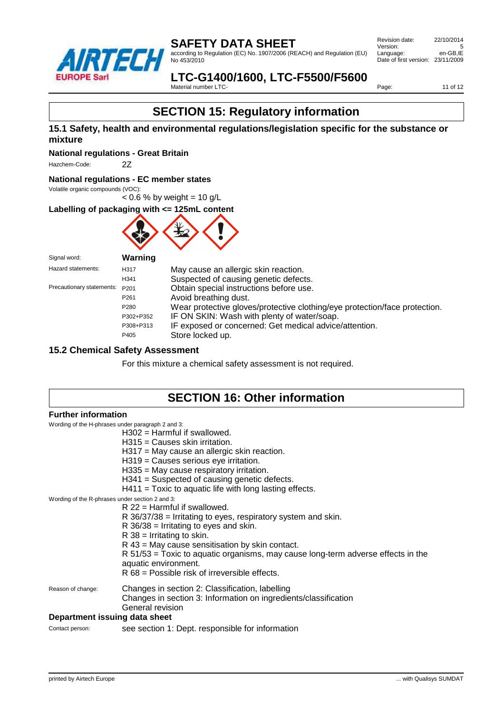

according to Regulation (EC) No. 1907/2006 (REACH) and Regulation (EU) No 453/2010

 Revision date: 22/10/2014 Version: 5<br>
Language: en-GB.IE Language: Date of first version: 23/11/2009

#### **LTC-G1400/1600, LTC-F5500/F5600** Material number LTC-

Page: 11 of 12

# **SECTION 15: Regulatory information**

#### **15.1 Safety, health and environmental regulations/legislation specific for the substance or mixture**

**National regulations - Great Britain**

Hazchem-Code: 2Z

#### **National regulations - EC member states**

Volatile organic compounds (VOC):  $< 0.6$  % by weight = 10 g/L

**Labelling of packaging with <= 125mL content**



| Signal word:              | Warning          |                                                                            |
|---------------------------|------------------|----------------------------------------------------------------------------|
| Hazard statements:        | H317             | May cause an allergic skin reaction.                                       |
|                           | H341             | Suspected of causing genetic defects.                                      |
| Precautionary statements: | P <sub>201</sub> | Obtain special instructions before use.                                    |
|                           | P <sub>261</sub> | Avoid breathing dust.                                                      |
|                           | P <sub>280</sub> | Wear protective gloves/protective clothing/eye protection/face protection. |
|                           | P302+P352        | IF ON SKIN: Wash with plenty of water/soap.                                |
|                           | P308+P313        | IF exposed or concerned: Get medical advice/attention.                     |
|                           | P405             | Store locked up.                                                           |

#### **15.2 Chemical Safety Assessment**

For this mixture a chemical safety assessment is not required.

# **SECTION 16: Other information**

#### **Further information**

Wording of the H-phrases under paragraph 2 and 3:

| $H302$ = Harmful if swallowed.   |
|----------------------------------|
| $H315 =$ Causes skin irritation. |

| $H317$ = May cause an allergic skin reaction.<br>H319 = Causes serious eye irritation.<br>$H335$ = May cause respiratory irritation.<br>$H341$ = Suspected of causing genetic defects.<br>$H411$ = Toxic to aquatic life with long lasting effects.                                                                                                                                                                                                    |
|--------------------------------------------------------------------------------------------------------------------------------------------------------------------------------------------------------------------------------------------------------------------------------------------------------------------------------------------------------------------------------------------------------------------------------------------------------|
| Wording of the R-phrases under section 2 and 3:<br>$R$ 22 = Harmful if swallowed.<br>$R$ 36/37/38 = Irritating to eyes, respiratory system and skin.<br>$R$ 36/38 = Irritating to eyes and skin.<br>$R$ 38 = Irritating to skin.<br>$R$ 43 = May cause sensitisation by skin contact.<br>$R$ 51/53 = Toxic to aquatic organisms, may cause long-term adverse effects in the<br>aquatic environment.<br>$R 68$ = Possible risk of irreversible effects. |
| Changes in section 2: Classification, labelling<br>Changes in section 3: Information on ingredients/classification<br>General revision<br>Department issuing data sheet                                                                                                                                                                                                                                                                                |
|                                                                                                                                                                                                                                                                                                                                                                                                                                                        |

Contact person: see section 1: Dept. responsible for information